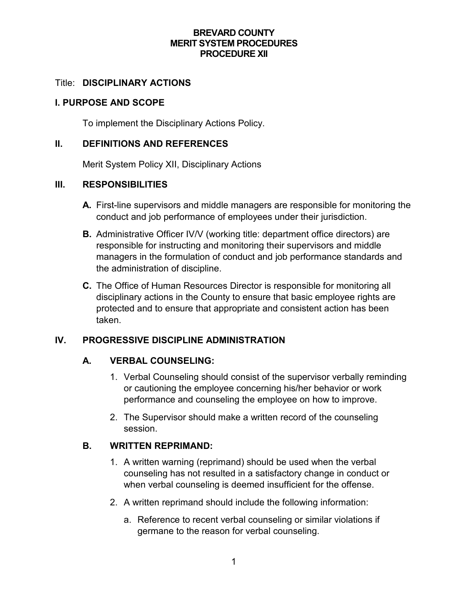### **BREVARD COUNTY MERIT SYSTEM PROCEDURES PROCEDURE XII**

### Title: **DISCIPLINARY ACTIONS**

### **I. PURPOSE AND SCOPE**

To implement the Disciplinary Actions Policy.

### **II. DEFINITIONS AND REFERENCES**

Merit System Policy XII, Disciplinary Actions

### **III. RESPONSIBILITIES**

- **A.** First-line supervisors and middle managers are responsible for monitoring the conduct and job performance of employees under their jurisdiction.
- **B.** Administrative Officer IV/V (working title: department office directors) are responsible for instructing and monitoring their supervisors and middle managers in the formulation of conduct and job performance standards and the administration of discipline.
- **C.** The Office of Human Resources Director is responsible for monitoring all disciplinary actions in the County to ensure that basic employee rights are protected and to ensure that appropriate and consistent action has been taken.

### **IV. PROGRESSIVE DISCIPLINE ADMINISTRATION**

### **A. VERBAL COUNSELING:**

- 1. Verbal Counseling should consist of the supervisor verbally reminding or cautioning the employee concerning his/her behavior or work performance and counseling the employee on how to improve.
- 2. The Supervisor should make a written record of the counseling session.

### **B. WRITTEN REPRIMAND:**

- 1. A written warning (reprimand) should be used when the verbal counseling has not resulted in a satisfactory change in conduct or when verbal counseling is deemed insufficient for the offense.
- 2. A written reprimand should include the following information:
	- a. Reference to recent verbal counseling or similar violations if germane to the reason for verbal counseling.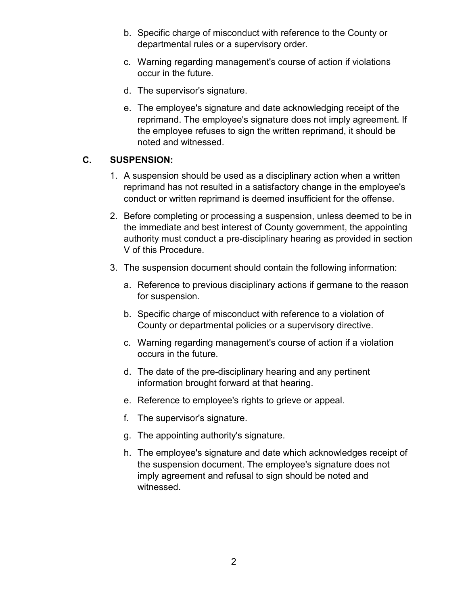- b. Specific charge of misconduct with reference to the County or departmental rules or a supervisory order.
- c. Warning regarding management's course of action if violations occur in the future.
- d. The supervisor's signature.
- e. The employee's signature and date acknowledging receipt of the reprimand. The employee's signature does not imply agreement. If the employee refuses to sign the written reprimand, it should be noted and witnessed.

# **C. SUSPENSION:**

- 1. A suspension should be used as a disciplinary action when a written reprimand has not resulted in a satisfactory change in the employee's conduct or written reprimand is deemed insufficient for the offense.
- 2. Before completing or processing a suspension, unless deemed to be in the immediate and best interest of County government, the appointing authority must conduct a pre-disciplinary hearing as provided in section V of this Procedure.
- 3. The suspension document should contain the following information:
	- a. Reference to previous disciplinary actions if germane to the reason for suspension.
	- b. Specific charge of misconduct with reference to a violation of County or departmental policies or a supervisory directive.
	- c. Warning regarding management's course of action if a violation occurs in the future.
	- d. The date of the pre-disciplinary hearing and any pertinent information brought forward at that hearing.
	- e. Reference to employee's rights to grieve or appeal.
	- f. The supervisor's signature.
	- g. The appointing authority's signature.
	- h. The employee's signature and date which acknowledges receipt of the suspension document. The employee's signature does not imply agreement and refusal to sign should be noted and witnessed.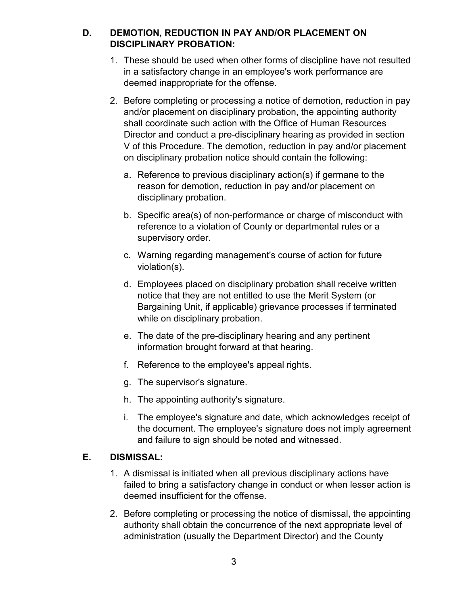# **D. DEMOTION, REDUCTION IN PAY AND/OR PLACEMENT ON DISCIPLINARY PROBATION:**

- 1. These should be used when other forms of discipline have not resulted in a satisfactory change in an employee's work performance are deemed inappropriate for the offense.
- 2. Before completing or processing a notice of demotion, reduction in pay and/or placement on disciplinary probation, the appointing authority shall coordinate such action with the Office of Human Resources Director and conduct a pre-disciplinary hearing as provided in section V of this Procedure. The demotion, reduction in pay and/or placement on disciplinary probation notice should contain the following:
	- a. Reference to previous disciplinary action(s) if germane to the reason for demotion, reduction in pay and/or placement on disciplinary probation.
	- b. Specific area(s) of non-performance or charge of misconduct with reference to a violation of County or departmental rules or a supervisory order.
	- c. Warning regarding management's course of action for future violation(s).
	- d. Employees placed on disciplinary probation shall receive written notice that they are not entitled to use the Merit System (or Bargaining Unit, if applicable) grievance processes if terminated while on disciplinary probation.
	- e. The date of the pre-disciplinary hearing and any pertinent information brought forward at that hearing.
	- f. Reference to the employee's appeal rights.
	- g. The supervisor's signature.
	- h. The appointing authority's signature.
	- i. The employee's signature and date, which acknowledges receipt of the document. The employee's signature does not imply agreement and failure to sign should be noted and witnessed.

## **E. DISMISSAL:**

- 1. A dismissal is initiated when all previous disciplinary actions have failed to bring a satisfactory change in conduct or when lesser action is deemed insufficient for the offense.
- 2. Before completing or processing the notice of dismissal, the appointing authority shall obtain the concurrence of the next appropriate level of administration (usually the Department Director) and the County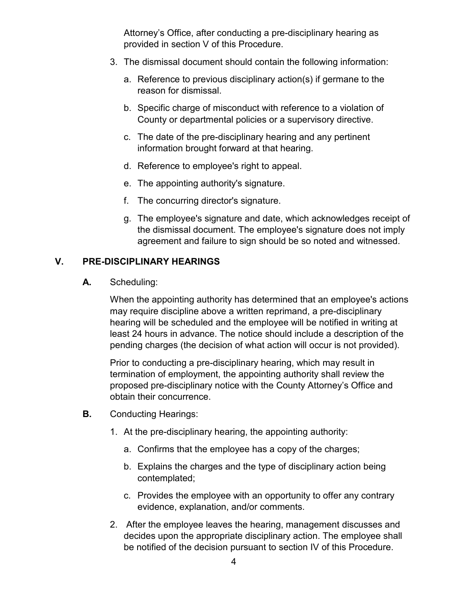Attorney's Office, after conducting a pre-disciplinary hearing as provided in section V of this Procedure.

- 3. The dismissal document should contain the following information:
	- a. Reference to previous disciplinary action(s) if germane to the reason for dismissal.
	- b. Specific charge of misconduct with reference to a violation of County or departmental policies or a supervisory directive.
	- c. The date of the pre-disciplinary hearing and any pertinent information brought forward at that hearing.
	- d. Reference to employee's right to appeal.
	- e. The appointing authority's signature.
	- f. The concurring director's signature.
	- g. The employee's signature and date, which acknowledges receipt of the dismissal document. The employee's signature does not imply agreement and failure to sign should be so noted and witnessed.

## **V. PRE-DISCIPLINARY HEARINGS**

**A.** Scheduling:

When the appointing authority has determined that an employee's actions may require discipline above a written reprimand, a pre-disciplinary hearing will be scheduled and the employee will be notified in writing at least 24 hours in advance. The notice should include a description of the pending charges (the decision of what action will occur is not provided).

Prior to conducting a pre-disciplinary hearing, which may result in termination of employment, the appointing authority shall review the proposed pre-disciplinary notice with the County Attorney's Office and obtain their concurrence.

- **B.** Conducting Hearings:
	- 1. At the pre-disciplinary hearing, the appointing authority:
		- a. Confirms that the employee has a copy of the charges;
		- b. Explains the charges and the type of disciplinary action being contemplated;
		- c. Provides the employee with an opportunity to offer any contrary evidence, explanation, and/or comments.
	- 2. After the employee leaves the hearing, management discusses and decides upon the appropriate disciplinary action. The employee shall be notified of the decision pursuant to section IV of this Procedure.